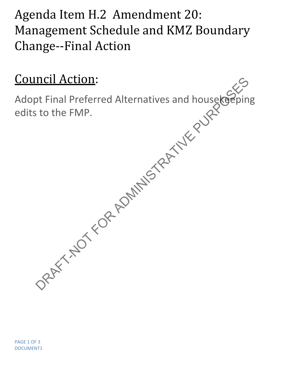Agenda Item H.2 Amendment 20: Management Schedule and KMZ Boundary Change--Final Action

## Council Action:

Adopt Final Preferred Alternatives and housekeeping edits to the FMP. DRAFT-NOT FOR AND THE CORPORATION STATES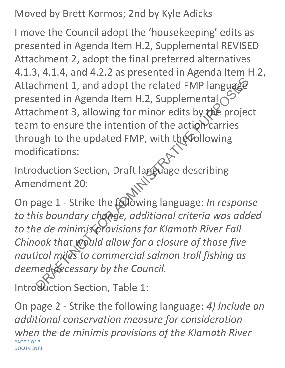Moved by Brett Kormos; 2nd by Kyle Adicks

I move the Council adopt the 'housekeeping' edits as presented in Agenda Item H.2, Supplemental REVISED Attachment 2, adopt the final preferred alternatives 4.1.3, 4.1.4, and 4.2.2 as presented in Agenda Item H.2, Attachment 1, and adopt the related FMP language presented in Agenda Item H.2, Supplemental Attachment 3, allowing for minor edits by the project team to ensure the intention of the action carries through to the updated FMP, with the following modifications: External 1, and adopt the related FMP language<br>
ented in Agenda Item H.2, Supplemental Compare ented in Agenda Item H.2, Supplemental Compare to ensure the intention of the action carries<br>
ugh to the updated FMP, with the

Introduction Section, Draft language describing Amendment 20:

On page 1 - Strike the following language: *In response to this boundary change, additional criteria was added to the de minimis provisions for Klamath River Fall Chinook that would allow for a closure of those five nautical miles to commercial salmon troll fishing as* deemed *decessary by the Council*.

Introduction Section, Table 1:

On page 2 - Strike the following language: *4) Include an additional conservation measure for consideration when the de minimis provisions of the Klamath River* PAGE 2 OF 3 DOCUMENT1